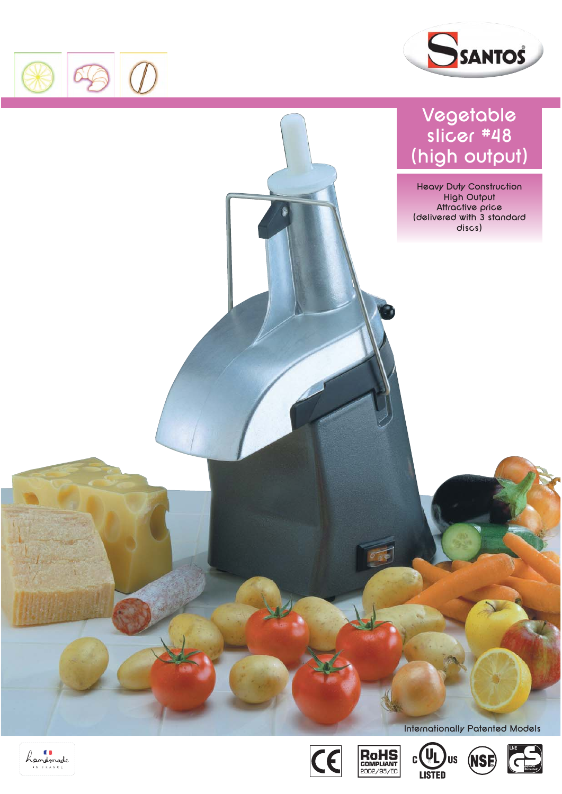



## **Vegetable slicer #48 (high output)**

**Heavy Duty Construction High Output Attractive price (delivered with 3 standard discs)**









**Internationally Patented Models**

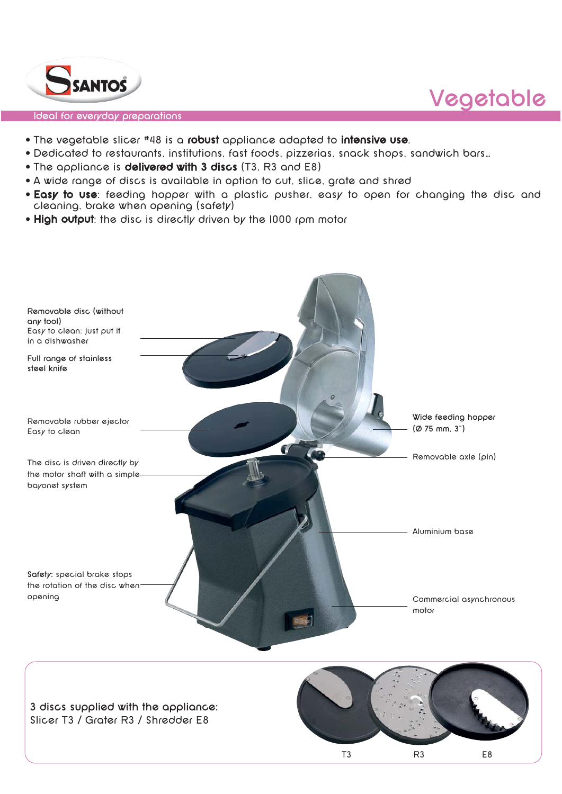

#### **Ideal for everyday preparations**

- The vegetable slicer #48 is a **robust** appliance adapted to **intensive use**.
- Dedicated to restaurants, institutions, fast foods, pizzerias, snack shops, sandwich bars…
- The appliance is **delivered with 3 discs** (T3, R3 and E8)
- A wide range of discs is available in option to cut, slice, grate and shred
- **Easy to use**: feeding hopper with a plastic pusher, easy to open for changing the disc and cleaning, brake when opening (safety)

**Vegetable** 

• **High output**: the disc is directly driven by the 1000 rpm motor

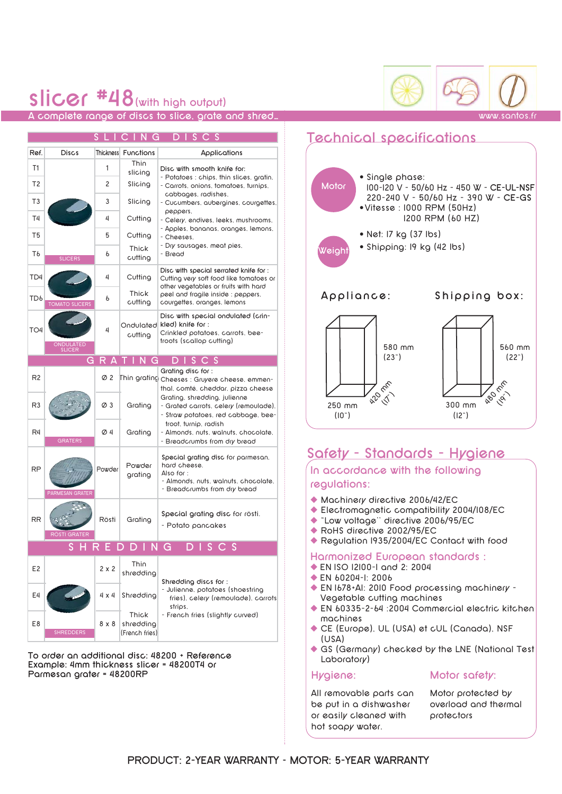### **slicer #48(with high output) A complete range of discs to slice, grate and shred…** www.santos.fr

### **SCING DI**

| Ref.                     | Discs                      | Thickness       | Functions            | Applications                                                                                                                                                                   |
|--------------------------|----------------------------|-----------------|----------------------|--------------------------------------------------------------------------------------------------------------------------------------------------------------------------------|
| T1                       |                            | 1               | Thin<br>slicing      | Disc with smooth knife for:                                                                                                                                                    |
| T <sub>2</sub>           |                            | 2               | Slicing              | - Potatoes : chips, thin slices, gratin,<br>- Carrots, onions, tomatoes, turnips,                                                                                              |
| T <sub>3</sub>           |                            | 3               | Slicing              | cabbages, radishes,<br>- Cucumbers, aubergines, courgettes,                                                                                                                    |
| T4                       |                            | 4               | Cutting              | peppers.<br>- Celery, endives, leeks, mushrooms,<br>- Apples, bananas, oranges, lemons,<br>- Cheeses.                                                                          |
| T <sub>5</sub>           |                            | 5               | Cutting              |                                                                                                                                                                                |
| TЬ                       | <b>SLICERS</b>             | b               | Thick<br>cutting     | - Dry sausages, meat pies,<br>- Bread                                                                                                                                          |
| TD4                      |                            | 4               | Cutting              | Disc with special serrated knife for :<br>Cutting very soft food like tomatoes or<br>other vegetables or fruits with hard                                                      |
| TD <sub>6</sub>          | <b>TOMATO SLICERS</b>      | 6               | Thick<br>cutting     | peel and fragile inside : peppers.<br>courgettes, oranges, lemons                                                                                                              |
| TO4                      | ONDULATED<br><b>SLICER</b> | 4               | Ondulated<br>cutting | Disc with special ondulated (crin-<br>kled) knife for:<br>Crinkled potatoes, carrots, bee-<br>troots (scallop cutting)                                                         |
|                          |                            | GRA             | TING                 | $D$ I S C S                                                                                                                                                                    |
| R <sub>2</sub>           |                            | Ø2              |                      | Grating disc for :<br>$\mathsf{\mathsf{[thin\,grating]}}$ $\mathsf{cheeses}:\mathsf{Gruyere}\; \mathsf{cheese}\; \mathsf{emmen}\text{-}$<br>thal, comté, cheddar, pizza cheese |
| R <sub>3</sub>           |                            | $\varnothing$ 3 | Grating              | Grating, shredding, julienne<br>- Grated carrots, celery (remoulade),<br>- Straw potatoes, red cabbage, bee-                                                                   |
| R4                       | <b>GRATERS</b>             | Ø4              | Grating              | troot, turnip, radish<br>- Almonds, nuts, walnuts, chocolate,<br>- Breadcrumbs from dry bread                                                                                  |
| <b>RP</b>                | PARMESAN GRATER            | Powder          | Powder<br>grating    | Special grating disc for parmesan.<br>hard cheese.<br>Also for:<br>- Almonds, nuts, walnuts, chocolate,<br>- Breadcrumbs from dry bread                                        |
| <b>RR</b>                | RÖSTI GRATER               | Rösti           | Grating              | Special grating disc for rösti.<br>- Potato pancakes                                                                                                                           |
| ING<br>н<br>ς<br>D.<br>E |                            |                 |                      |                                                                                                                                                                                |
| E <sub>2</sub>           |                            | $2 \times 2$    | Thin<br>shredding    | Shredding discs for:                                                                                                                                                           |
| E4                       |                            | 4 x 4           | Shredding            | - Julienne, potatoes (shoestring<br>fries), celery (remoulade), carrots<br>strips.<br>- French fries (slightly curved)                                                         |
| E8                       |                            | 8 x 8           | Thick<br>shredding   |                                                                                                                                                                                |

**To order an additional disc: 48200 + Reference Example: 4mm thickness slicer = 48200T4 or Parmesan grater = 48200RP**

SHREDDERS

(French fries)

### **Technical specifications**



### **Safety - Standards - Hygiene**

**In accordance with the following regulations:**

- ◆ Machinery directive 2006/42/EC
- ◆ Electromagnetic compatibility 2004/108/EC
- ◆ "Low voltage'' directive 2006/95/EC
- ◆ RoHS directive 2002/95/EC
- ◆ Regulation I935/2004/EC Contact with food

#### **Harmonized European standards :**

- ◆ EN ISO 12100-1 and 2: 2004
- ◆ EN 60204-1: 2006
- ◆ EN 1678+A1: 2010 Food processing machinery Vegetable cutting machines
- ◆ EN 60335-2-64 :2004 Commercial electric kitchen machines
- ◆ CE (Europe), UL (USA) et cUL (Canada), NSF (USA)
- ◆ GS (Germany) checked by the LNE (National Test Laboratory)

### **Hygiene:**

### **Motor safety:**

All removable parts can be put in a dishwasher or easily cleaned with hot soapy water.

Motor protected by overload and thermal protectors